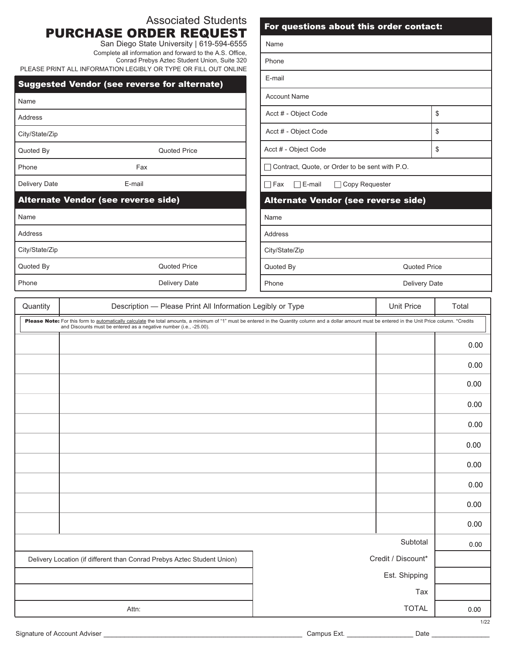|                                                                            | <b>Associated Students</b>                                                                                                                                                                                                                                                    | For questions about this order contact:         |                    |       |  |
|----------------------------------------------------------------------------|-------------------------------------------------------------------------------------------------------------------------------------------------------------------------------------------------------------------------------------------------------------------------------|-------------------------------------------------|--------------------|-------|--|
| <b>PURCHASE ORDER REQUEST</b><br>San Diego State University   619-594-6555 |                                                                                                                                                                                                                                                                               | Name                                            |                    |       |  |
|                                                                            | Complete all information and forward to the A.S. Office,<br>Conrad Prebys Aztec Student Union, Suite 320                                                                                                                                                                      | Phone                                           |                    |       |  |
|                                                                            | PLEASE PRINT ALL INFORMATION LEGIBLY OR TYPE OR FILL OUT ONLINE<br><b>Suggested Vendor (see reverse for alternate)</b>                                                                                                                                                        | E-mail                                          |                    |       |  |
| Name                                                                       |                                                                                                                                                                                                                                                                               | <b>Account Name</b>                             |                    |       |  |
| <b>Address</b>                                                             |                                                                                                                                                                                                                                                                               | Acct # - Object Code                            | $\,$               |       |  |
| City/State/Zip                                                             |                                                                                                                                                                                                                                                                               | Acct # - Object Code                            | \$                 |       |  |
| Quoted By                                                                  | <b>Quoted Price</b>                                                                                                                                                                                                                                                           | Acct # - Object Code                            | \$                 |       |  |
| Phone                                                                      | Fax                                                                                                                                                                                                                                                                           | Contract, Quote, or Order to be sent with P.O.  |                    |       |  |
| Delivery Date                                                              | E-mail                                                                                                                                                                                                                                                                        | $\Box$ E-mail<br>□ Copy Requester<br>$\Box$ Fax |                    |       |  |
|                                                                            | Alternate Vendor (see reverse side)                                                                                                                                                                                                                                           | Alternate Vendor (see reverse side)             |                    |       |  |
| Name                                                                       |                                                                                                                                                                                                                                                                               | Name                                            |                    |       |  |
| Address                                                                    |                                                                                                                                                                                                                                                                               | Address                                         |                    |       |  |
| City/State/Zip                                                             |                                                                                                                                                                                                                                                                               | City/State/Zip                                  |                    |       |  |
| <b>Quoted Price</b><br>Quoted By                                           |                                                                                                                                                                                                                                                                               | Quoted Price<br>Quoted By                       |                    |       |  |
| Phone                                                                      | Delivery Date                                                                                                                                                                                                                                                                 | Phone<br>Delivery Date                          |                    |       |  |
| Description - Please Print All Information Legibly or Type<br>Quantity     |                                                                                                                                                                                                                                                                               |                                                 | <b>Unit Price</b>  | Total |  |
|                                                                            | Please Note: For this form to automatically calculate the total amounts, a minimum of "1" must be entered in the Quantity column and a dollar amount must be entered in the Unit Price column. *Credits<br>and Discounts must be entered as a negative number (i.e., -25.00). |                                                 |                    |       |  |
|                                                                            |                                                                                                                                                                                                                                                                               |                                                 |                    | 0.00  |  |
|                                                                            |                                                                                                                                                                                                                                                                               |                                                 |                    | 0.00  |  |
|                                                                            |                                                                                                                                                                                                                                                                               |                                                 |                    | 0.00  |  |
|                                                                            |                                                                                                                                                                                                                                                                               |                                                 |                    | 0.00  |  |
|                                                                            |                                                                                                                                                                                                                                                                               |                                                 |                    | 0.00  |  |
|                                                                            |                                                                                                                                                                                                                                                                               |                                                 |                    | 0.00  |  |
|                                                                            |                                                                                                                                                                                                                                                                               |                                                 |                    |       |  |
|                                                                            |                                                                                                                                                                                                                                                                               |                                                 |                    | 0.00  |  |
|                                                                            |                                                                                                                                                                                                                                                                               |                                                 |                    | 0.00  |  |
|                                                                            |                                                                                                                                                                                                                                                                               |                                                 |                    | 0.00  |  |
|                                                                            |                                                                                                                                                                                                                                                                               |                                                 |                    | 0.00  |  |
|                                                                            |                                                                                                                                                                                                                                                                               |                                                 | Subtotal           | 0.00  |  |
|                                                                            | Delivery Location (if different than Conrad Prebys Aztec Student Union)                                                                                                                                                                                                       |                                                 | Credit / Discount* |       |  |
|                                                                            |                                                                                                                                                                                                                                                                               |                                                 | Est. Shipping      |       |  |

Signature of Account Adviser \_\_\_\_\_\_\_\_\_\_\_\_\_\_\_\_\_\_\_\_\_\_\_\_\_\_\_\_\_\_\_\_\_\_\_\_\_\_\_\_\_\_\_\_\_\_\_\_ Campus Ext. \_\_\_\_\_\_\_\_\_\_\_\_\_\_\_\_ Date \_\_\_\_\_\_\_\_\_\_\_\_\_\_

1/22

0.00

Tax

TOTAL